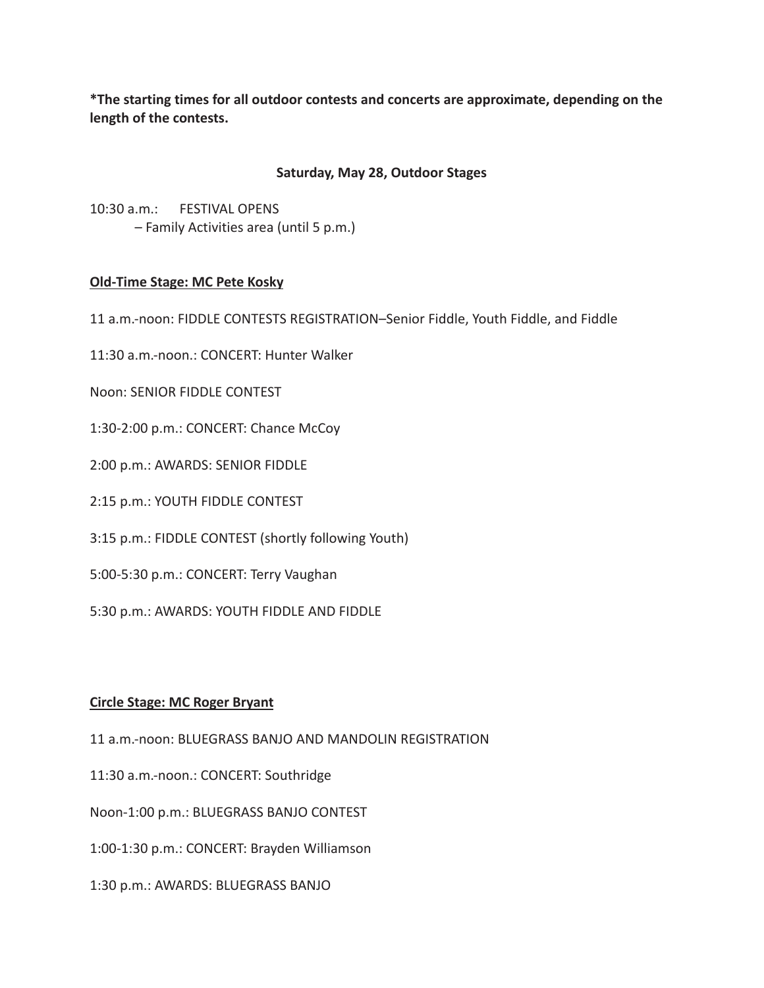**\*The starting times for all outdoor contests and concerts are approximate, depending on the length of the contests.**

# **Saturday, May 28, Outdoor Stages**

10:30 a.m.: FESTIVAL OPENS – Family Activities area (until 5 p.m.)

# **Old-Time Stage: MC Pete Kosky**

11 a.m.-noon: FIDDLE CONTESTS REGISTRATION–Senior Fiddle, Youth Fiddle, and Fiddle

11:30 a.m.-noon.: CONCERT: Hunter Walker

Noon: SENIOR FIDDLE CONTEST

1:30-2:00 p.m.: CONCERT: Chance McCoy

2:00 p.m.: AWARDS: SENIOR FIDDLE

2:15 p.m.: YOUTH FIDDLE CONTEST

3:15 p.m.: FIDDLE CONTEST (shortly following Youth)

5:00-5:30 p.m.: CONCERT: Terry Vaughan

5:30 p.m.: AWARDS: YOUTH FIDDLE AND FIDDLE

### **Circle Stage: MC Roger Bryant**

11 a.m.-noon: BLUEGRASS BANJO AND MANDOLIN REGISTRATION

11:30 a.m.-noon.: CONCERT: Southridge

Noon-1:00 p.m.: BLUEGRASS BANJO CONTEST

1:00-1:30 p.m.: CONCERT: Brayden Williamson

1:30 p.m.: AWARDS: BLUEGRASS BANJO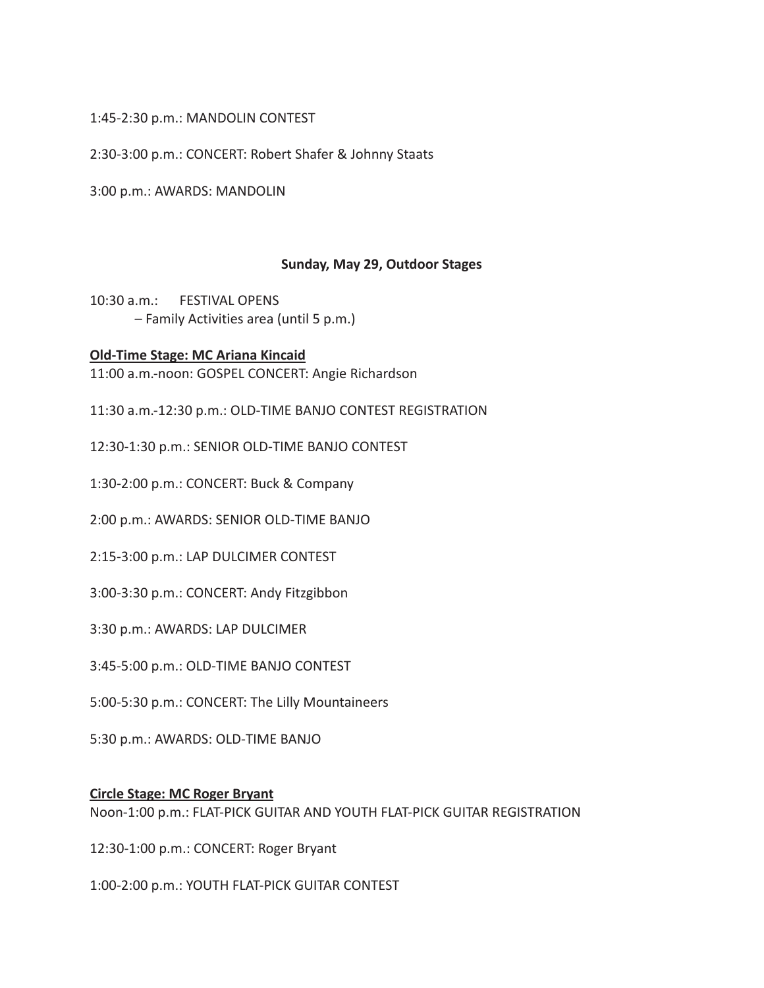# 1:45-2:30 p.m.: MANDOLIN CONTEST

2:30-3:00 p.m.: CONCERT: Robert Shafer & Johnny Staats

3:00 p.m.: AWARDS: MANDOLIN

# **Sunday, May 29, Outdoor Stages**

10:30 a.m.: FESTIVAL OPENS – Family Activities area (until 5 p.m.)

### **Old-Time Stage: MC Ariana Kincaid**

11:00 a.m.-noon: GOSPEL CONCERT: Angie Richardson

11:30 a.m.-12:30 p.m.: OLD-TIME BANJO CONTEST REGISTRATION

12:30-1:30 p.m.: SENIOR OLD-TIME BANJO CONTEST

1:30-2:00 p.m.: CONCERT: Buck & Company

2:00 p.m.: AWARDS: SENIOR OLD-TIME BANJO

2:15-3:00 p.m.: LAP DULCIMER CONTEST

3:00-3:30 p.m.: CONCERT: Andy Fitzgibbon

3:30 p.m.: AWARDS: LAP DULCIMER

3:45-5:00 p.m.: OLD-TIME BANJO CONTEST

5:00-5:30 p.m.: CONCERT: The Lilly Mountaineers

5:30 p.m.: AWARDS: OLD-TIME BANJO

### **Circle Stage: MC Roger Bryant**

Noon-1:00 p.m.: FLAT-PICK GUITAR AND YOUTH FLAT-PICK GUITAR REGISTRATION

12:30-1:00 p.m.: CONCERT: Roger Bryant

1:00-2:00 p.m.: YOUTH FLAT-PICK GUITAR CONTEST